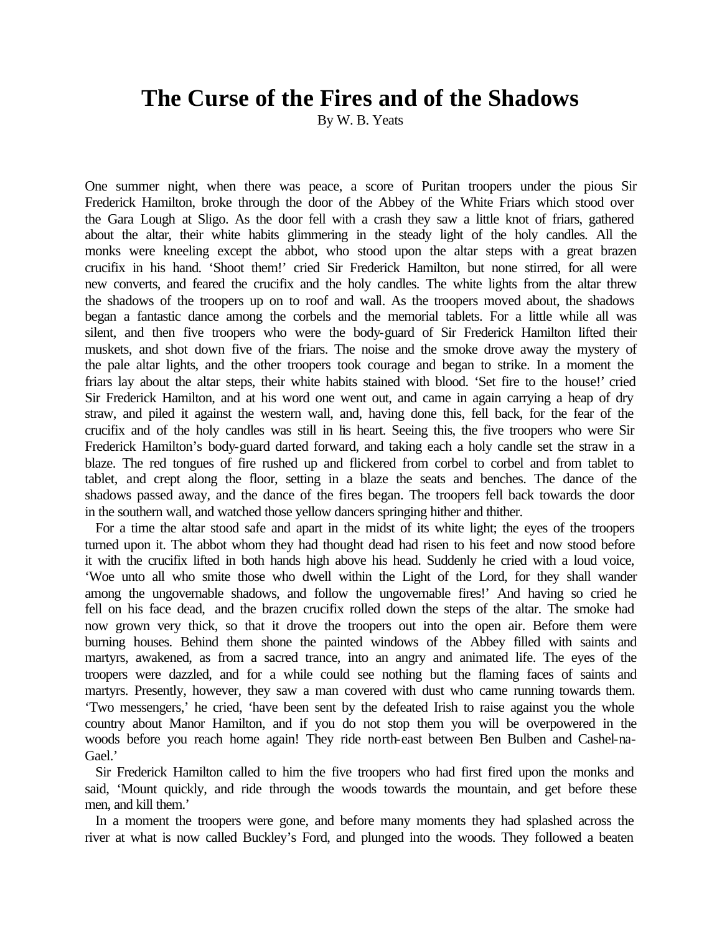## **The Curse of the Fires and of the Shadows**

By W. B. Yeats

One summer night, when there was peace, a score of Puritan troopers under the pious Sir Frederick Hamilton, broke through the door of the Abbey of the White Friars which stood over the Gara Lough at Sligo. As the door fell with a crash they saw a little knot of friars, gathered about the altar, their white habits glimmering in the steady light of the holy candles. All the monks were kneeling except the abbot, who stood upon the altar steps with a great brazen crucifix in his hand. 'Shoot them!' cried Sir Frederick Hamilton, but none stirred, for all were new converts, and feared the crucifix and the holy candles. The white lights from the altar threw the shadows of the troopers up on to roof and wall. As the troopers moved about, the shadows began a fantastic dance among the corbels and the memorial tablets. For a little while all was silent, and then five troopers who were the body-guard of Sir Frederick Hamilton lifted their muskets, and shot down five of the friars. The noise and the smoke drove away the mystery of the pale altar lights, and the other troopers took courage and began to strike. In a moment the friars lay about the altar steps, their white habits stained with blood. 'Set fire to the house!' cried Sir Frederick Hamilton, and at his word one went out, and came in again carrying a heap of dry straw, and piled it against the western wall, and, having done this, fell back, for the fear of the crucifix and of the holy candles was still in his heart. Seeing this, the five troopers who were Sir Frederick Hamilton's body-guard darted forward, and taking each a holy candle set the straw in a blaze. The red tongues of fire rushed up and flickered from corbel to corbel and from tablet to tablet, and crept along the floor, setting in a blaze the seats and benches. The dance of the shadows passed away, and the dance of the fires began. The troopers fell back towards the door in the southern wall, and watched those yellow dancers springing hither and thither.

For a time the altar stood safe and apart in the midst of its white light; the eyes of the troopers turned upon it. The abbot whom they had thought dead had risen to his feet and now stood before it with the crucifix lifted in both hands high above his head. Suddenly he cried with a loud voice, 'Woe unto all who smite those who dwell within the Light of the Lord, for they shall wander among the ungovernable shadows, and follow the ungovernable fires!' And having so cried he fell on his face dead, and the brazen crucifix rolled down the steps of the altar. The smoke had now grown very thick, so that it drove the troopers out into the open air. Before them were burning houses. Behind them shone the painted windows of the Abbey filled with saints and martyrs, awakened, as from a sacred trance, into an angry and animated life. The eyes of the troopers were dazzled, and for a while could see nothing but the flaming faces of saints and martyrs. Presently, however, they saw a man covered with dust who came running towards them. 'Two messengers,' he cried, 'have been sent by the defeated Irish to raise against you the whole country about Manor Hamilton, and if you do not stop them you will be overpowered in the woods before you reach home again! They ride north-east between Ben Bulben and Cashel-na-Gael.'

Sir Frederick Hamilton called to him the five troopers who had first fired upon the monks and said, 'Mount quickly, and ride through the woods towards the mountain, and get before these men, and kill them.'

In a moment the troopers were gone, and before many moments they had splashed across the river at what is now called Buckley's Ford, and plunged into the woods. They followed a beaten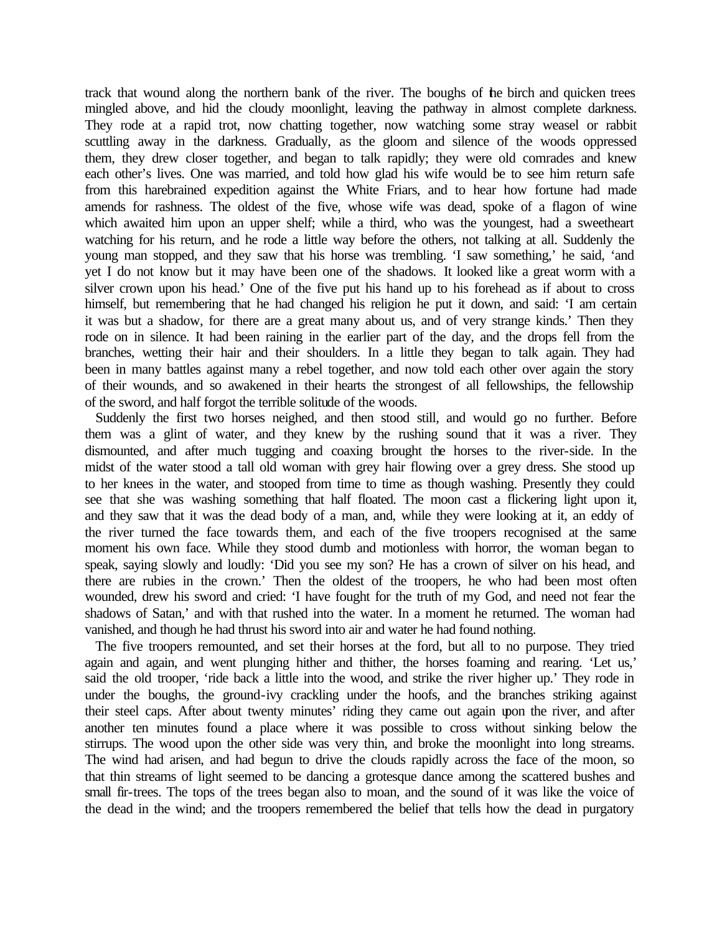track that wound along the northern bank of the river. The boughs of the birch and quicken trees mingled above, and hid the cloudy moonlight, leaving the pathway in almost complete darkness. They rode at a rapid trot, now chatting together, now watching some stray weasel or rabbit scuttling away in the darkness. Gradually, as the gloom and silence of the woods oppressed them, they drew closer together, and began to talk rapidly; they were old comrades and knew each other's lives. One was married, and told how glad his wife would be to see him return safe from this harebrained expedition against the White Friars, and to hear how fortune had made amends for rashness. The oldest of the five, whose wife was dead, spoke of a flagon of wine which awaited him upon an upper shelf; while a third, who was the youngest, had a sweetheart watching for his return, and he rode a little way before the others, not talking at all. Suddenly the young man stopped, and they saw that his horse was trembling. 'I saw something,' he said, 'and yet I do not know but it may have been one of the shadows. It looked like a great worm with a silver crown upon his head.' One of the five put his hand up to his forehead as if about to cross himself, but remembering that he had changed his religion he put it down, and said: 'I am certain it was but a shadow, for there are a great many about us, and of very strange kinds.' Then they rode on in silence. It had been raining in the earlier part of the day, and the drops fell from the branches, wetting their hair and their shoulders. In a little they began to talk again. They had been in many battles against many a rebel together, and now told each other over again the story of their wounds, and so awakened in their hearts the strongest of all fellowships, the fellowship of the sword, and half forgot the terrible solitude of the woods.

Suddenly the first two horses neighed, and then stood still, and would go no further. Before them was a glint of water, and they knew by the rushing sound that it was a river. They dismounted, and after much tugging and coaxing brought the horses to the river-side. In the midst of the water stood a tall old woman with grey hair flowing over a grey dress. She stood up to her knees in the water, and stooped from time to time as though washing. Presently they could see that she was washing something that half floated. The moon cast a flickering light upon it, and they saw that it was the dead body of a man, and, while they were looking at it, an eddy of the river turned the face towards them, and each of the five troopers recognised at the same moment his own face. While they stood dumb and motionless with horror, the woman began to speak, saying slowly and loudly: 'Did you see my son? He has a crown of silver on his head, and there are rubies in the crown.' Then the oldest of the troopers, he who had been most often wounded, drew his sword and cried: 'I have fought for the truth of my God, and need not fear the shadows of Satan,' and with that rushed into the water. In a moment he returned. The woman had vanished, and though he had thrust his sword into air and water he had found nothing.

The five troopers remounted, and set their horses at the ford, but all to no purpose. They tried again and again, and went plunging hither and thither, the horses foaming and rearing. 'Let us,' said the old trooper, 'ride back a little into the wood, and strike the river higher up.' They rode in under the boughs, the ground-ivy crackling under the hoofs, and the branches striking against their steel caps. After about twenty minutes' riding they came out again upon the river, and after another ten minutes found a place where it was possible to cross without sinking below the stirrups. The wood upon the other side was very thin, and broke the moonlight into long streams. The wind had arisen, and had begun to drive the clouds rapidly across the face of the moon, so that thin streams of light seemed to be dancing a grotesque dance among the scattered bushes and small fir-trees. The tops of the trees began also to moan, and the sound of it was like the voice of the dead in the wind; and the troopers remembered the belief that tells how the dead in purgatory